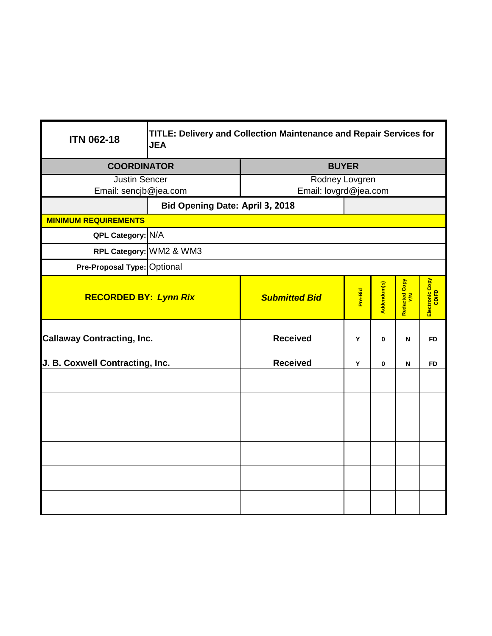| <b>ITN 062-18</b>                 | TITLE: Delivery and Collection Maintenance and Repair Services for<br><b>JEA</b> |                                 |         |             |                     |                          |  |
|-----------------------------------|----------------------------------------------------------------------------------|---------------------------------|---------|-------------|---------------------|--------------------------|--|
| <b>COORDINATOR</b>                |                                                                                  | <b>BUYER</b>                    |         |             |                     |                          |  |
| <b>Justin Sencer</b>              |                                                                                  | Rodney Lovgren                  |         |             |                     |                          |  |
| Email: sencjb@jea.com             |                                                                                  | Email: lovgrd@jea.com           |         |             |                     |                          |  |
|                                   |                                                                                  | Bid Opening Date: April 3, 2018 |         |             |                     |                          |  |
| <b>MINIMUM REQUIREMENTS</b>       |                                                                                  |                                 |         |             |                     |                          |  |
| QPL Category: N/A                 |                                                                                  |                                 |         |             |                     |                          |  |
| RPL Category: WM2 & WM3           |                                                                                  |                                 |         |             |                     |                          |  |
| Pre-Proposal Type: Optional       |                                                                                  |                                 |         |             |                     |                          |  |
| <b>RECORDED BY: Lynn Rix</b>      |                                                                                  | <b>Submitted Bid</b>            | Pre-Bid | Addendum(s) | Redacted Copy<br>YM | Electronic Copy<br>CD/FD |  |
| <b>Callaway Contracting, Inc.</b> |                                                                                  | <b>Received</b>                 | Υ       | 0           | N                   | <b>FD</b>                |  |
| J. B. Coxwell Contracting, Inc.   |                                                                                  | <b>Received</b>                 | Y       | $\bf{0}$    | N                   | <b>FD</b>                |  |
|                                   |                                                                                  |                                 |         |             |                     |                          |  |
|                                   |                                                                                  |                                 |         |             |                     |                          |  |
|                                   |                                                                                  |                                 |         |             |                     |                          |  |
|                                   |                                                                                  |                                 |         |             |                     |                          |  |
|                                   |                                                                                  |                                 |         |             |                     |                          |  |
|                                   |                                                                                  |                                 |         |             |                     |                          |  |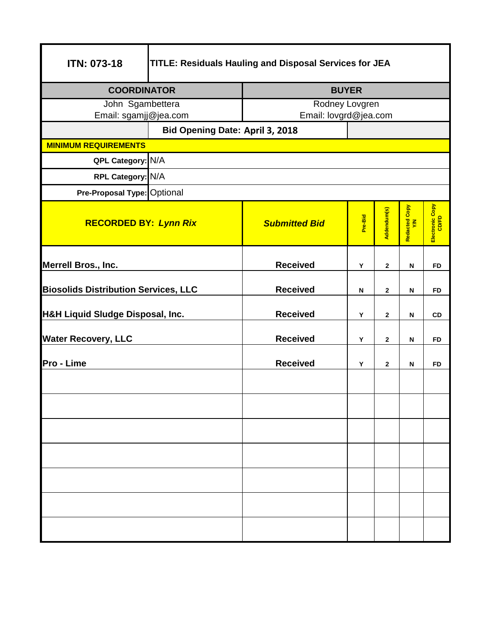| <b>ITN: 073-18</b>                               | TITLE: Residuals Hauling and Disposal Services for JEA |                       |         |                |                      |                          |  |
|--------------------------------------------------|--------------------------------------------------------|-----------------------|---------|----------------|----------------------|--------------------------|--|
| <b>COORDINATOR</b>                               |                                                        | <b>BUYER</b>          |         |                |                      |                          |  |
| John Sgambettera                                 |                                                        | Rodney Lovgren        |         |                |                      |                          |  |
| Email: sgamjj@jea.com                            |                                                        | Email: lovgrd@jea.com |         |                |                      |                          |  |
|                                                  | Bid Opening Date: April 3, 2018                        |                       |         |                |                      |                          |  |
| <b>MINIMUM REQUIREMENTS</b><br>QPL Category: N/A |                                                        |                       |         |                |                      |                          |  |
|                                                  |                                                        |                       |         |                |                      |                          |  |
|                                                  | RPL Category: N/A                                      |                       |         |                |                      |                          |  |
| Pre-Proposal Type: Optional                      |                                                        |                       |         |                |                      |                          |  |
| <b>RECORDED BY: Lynn Rix</b>                     |                                                        | <b>Submitted Bid</b>  | Pre-Bid | Addendum(s)    | Redacted Copy<br>Y/N | Electronic Copy<br>CD/FD |  |
| Merrell Bros., Inc.                              |                                                        | <b>Received</b>       | Y       | $\mathbf{2}$   | N                    | <b>FD</b>                |  |
| <b>Biosolids Distribution Services, LLC</b>      |                                                        | <b>Received</b>       | N       | $\overline{2}$ | ${\sf N}$            | <b>FD</b>                |  |
| <b>H&amp;H Liquid Sludge Disposal, Inc.</b>      |                                                        | <b>Received</b>       | Y       | $\mathbf{2}$   | N                    | CD                       |  |
| <b>Water Recovery, LLC</b>                       |                                                        | <b>Received</b>       | Y       | $\mathbf{2}$   | N                    | <b>FD</b>                |  |
| Pro - Lime                                       |                                                        | <b>Received</b>       | Υ       | $\mathbf{2}$   | N                    | <b>FD</b>                |  |
|                                                  |                                                        |                       |         |                |                      |                          |  |
|                                                  |                                                        |                       |         |                |                      |                          |  |
|                                                  |                                                        |                       |         |                |                      |                          |  |
|                                                  |                                                        |                       |         |                |                      |                          |  |
|                                                  |                                                        |                       |         |                |                      |                          |  |
|                                                  |                                                        |                       |         |                |                      |                          |  |
|                                                  |                                                        |                       |         |                |                      |                          |  |